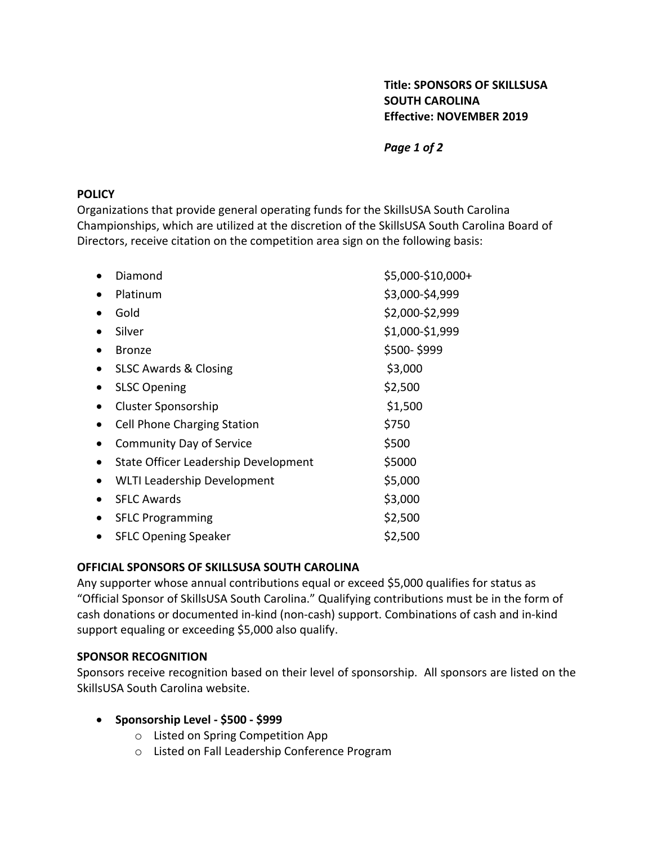# **Title: SPONSORS OF SKILLSUSA SOUTH CAROLINA Effective: NOVEMBER 2019**

*Page 1 of 2*

#### **POLICY**

Organizations that provide general operating funds for the SkillsUSA South Carolina Championships, which are utilized at the discretion of the SkillsUSA South Carolina Board of Directors, receive citation on the competition area sign on the following basis:

|           | Diamond                              | \$5,000-\$10,000+ |
|-----------|--------------------------------------|-------------------|
|           | Platinum                             | \$3,000-\$4,999   |
|           | Gold                                 | \$2,000-\$2,999   |
|           | Silver                               | \$1,000-\$1,999   |
|           | <b>Bronze</b>                        | \$500-\$999       |
|           | <b>SLSC Awards &amp; Closing</b>     | \$3,000           |
| ٠         | <b>SLSC Opening</b>                  | \$2,500           |
| $\bullet$ | <b>Cluster Sponsorship</b>           | \$1,500           |
|           | <b>Cell Phone Charging Station</b>   | \$750             |
|           | <b>Community Day of Service</b>      | \$500             |
|           | State Officer Leadership Development | \$5000            |
| $\bullet$ | <b>WLTI Leadership Development</b>   | \$5,000           |
|           | <b>SFLC Awards</b>                   | \$3,000           |
|           | <b>SFLC Programming</b>              | \$2,500           |
|           | <b>SFLC Opening Speaker</b>          | \$2,500           |

### **OFFICIAL SPONSORS OF SKILLSUSA SOUTH CAROLINA**

Any supporter whose annual contributions equal or exceed \$5,000 qualifies for status as "Official Sponsor of SkillsUSA South Carolina." Qualifying contributions must be in the form of cash donations or documented in-kind (non-cash) support. Combinations of cash and in-kind support equaling or exceeding \$5,000 also qualify.

#### **SPONSOR RECOGNITION**

Sponsors receive recognition based on their level of sponsorship. All sponsors are listed on the SkillsUSA South Carolina website.

- **Sponsorship Level - \$500 - \$999**
	- o Listed on Spring Competition App
	- o Listed on Fall Leadership Conference Program